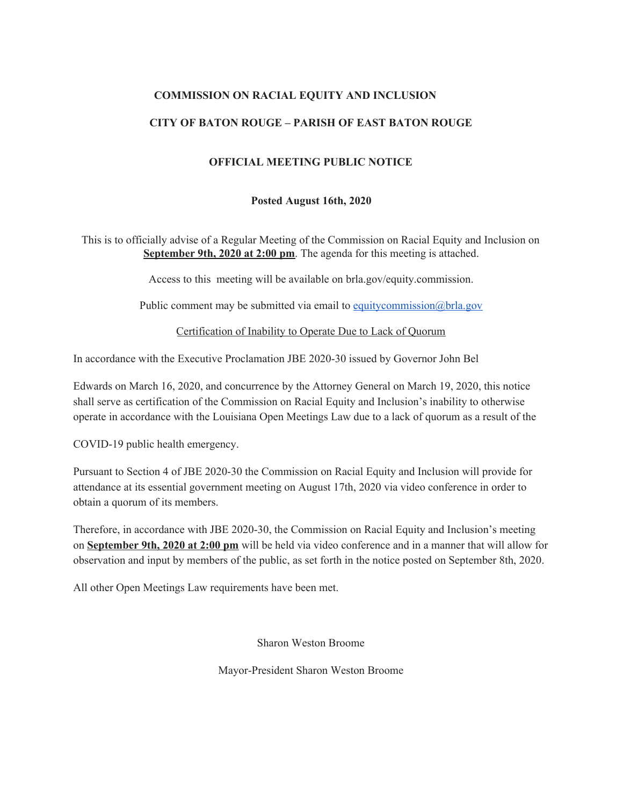## **COMMISSION ON RACIAL EQUITY AND INCLUSION**

### **CITY OF BATON ROUGE – PARISH OF EAST BATON ROUGE**

### **OFFICIAL MEETING PUBLIC NOTICE**

#### **Posted August 16th, 2020**

This is to officially advise of a Regular Meeting of the Commission on Racial Equity and Inclusion on **September 9th, 2020 at 2:00 pm**. The agenda for this meeting is attached.

Access to this meeting will be available on brla.gov/equity.commission.

Public comment may be submitted via email to [equitycommission@brla.gov](mailto:equitycommission@brla.gov)

Certification of Inability to Operate Due to Lack of Quorum

In accordance with the Executive Proclamation JBE 2020-30 issued by Governor John Bel

Edwards on March 16, 2020, and concurrence by the Attorney General on March 19, 2020, this notice shall serve as certification of the Commission on Racial Equity and Inclusion's inability to otherwise operate in accordance with the Louisiana Open Meetings Law due to a lack of quorum as a result of the

COVID-19 public health emergency.

Pursuant to Section 4 of JBE 2020-30 the Commission on Racial Equity and Inclusion will provide for attendance at its essential government meeting on August 17th, 2020 via video conference in order to obtain a quorum of its members.

Therefore, in accordance with JBE 2020-30, the Commission on Racial Equity and Inclusion's meeting on **September 9th, 2020 at 2:00 pm** will be held via video conference and in a manner that will allow for observation and input by members of the public, as set forth in the notice posted on September 8th, 2020.

All other Open Meetings Law requirements have been met.

Sharon Weston Broome

Mayor-President Sharon Weston Broome